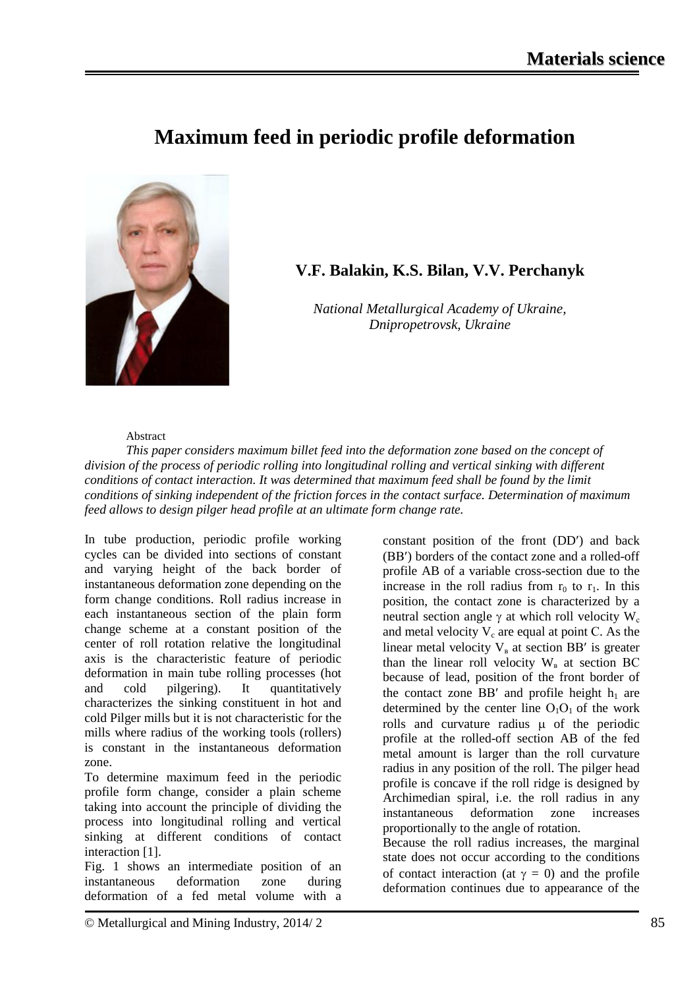# **Maximum feed in periodic profile deformation**



# **V.F. Balakin, K.S. Bilan, V.V. Perchanyk**

*National Metallurgical Academy of Ukraine, Dnipropetrovsk, Ukraine*

## Abstract

*This paper considers maximum billet feed into the deformation zone based on the concept of division of the process of periodic rolling into longitudinal rolling and vertical sinking with different conditions of contact interaction. It was determined that maximum feed shall be found by the limit conditions of sinking independent of the friction forces in the contact surface. Determination of maximum feed allows to design pilger head profile at an ultimate form change rate.*

In tube production, periodic profile working cycles can be divided into sections of constant and varying height of the back border of instantaneous deformation zone depending on the form change conditions. Roll radius increase in each instantaneous section of the plain form change scheme at a constant position of the center of roll rotation relative the longitudinal axis is the characteristic feature of periodic deformation in main tube rolling processes (hot and cold pilgering). It quantitatively characterizes the sinking constituent in hot and cold Pilger mills but it is not characteristic for the mills where radius of the working tools (rollers) is constant in the instantaneous deformation zone.

To determine maximum feed in the periodic profile form change, consider a plain scheme taking into account the principle of dividing the process into longitudinal rolling and vertical sinking at different conditions of contact interaction [1].

Fig. 1 shows an intermediate position of an instantaneous deformation zone during deformation of a fed metal volume with a constant position of the front (DD′) and back (ВВ′) borders of the contact zone and a rolled-off profile AB of a variable cross-section due to the increase in the roll radius from  $r_0$  to  $r_1$ . In this position, the contact zone is characterized by a neutral section angle γ at which roll velocity  $W_c$ and metal velocity  $V_c$  are equal at point C. As the linear metal velocity  $V<sub>B</sub>$  at section BB' is greater than the linear roll velocity  $W_B$  at section BC because of lead, position of the front border of the contact zone BB' and profile height  $h_1$  are determined by the center line  $O_1O_1$  of the work rolls and curvature radius  $\mu$  of the periodic profile at the rolled-off section AB of the fed metal amount is larger than the roll curvature radius in any position of the roll. The pilger head profile is concave if the roll ridge is designed by Archimedian spiral, i.e. the roll radius in any instantaneous deformation zone increases proportionally to the angle of rotation.

Because the roll radius increases, the marginal state does not occur according to the conditions of contact interaction (at  $\gamma = 0$ ) and the profile deformation continues due to appearance of the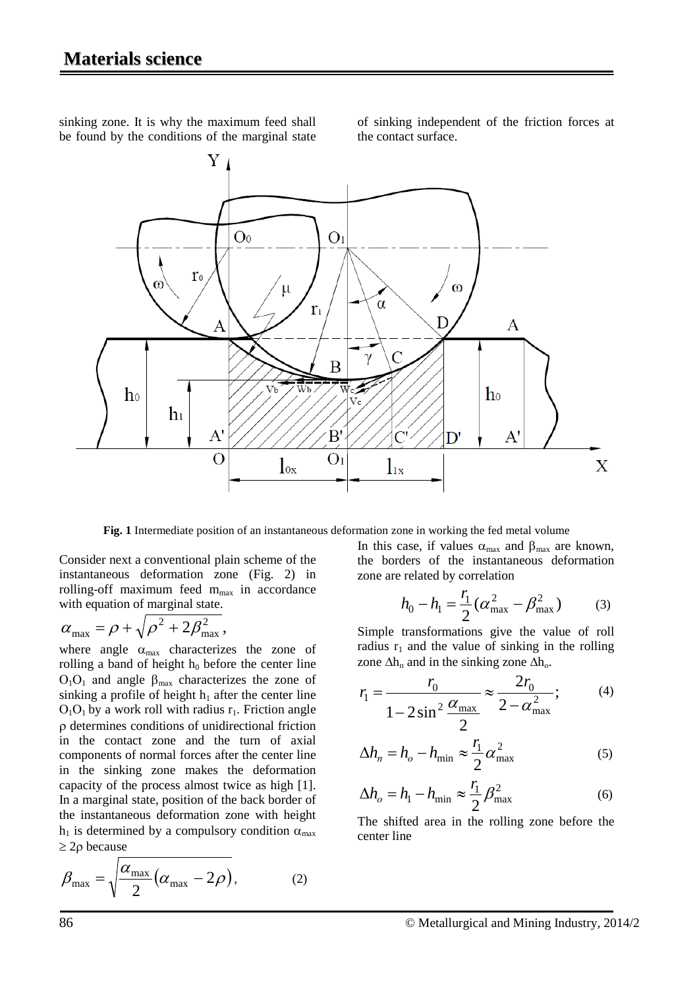sinking zone. It is why the maximum feed shall be found by the conditions of the marginal state of sinking independent of the friction forces at the contact surface.



**Fig. 1** Intermediate position of an instantaneous deformation zone in working the fed metal volume

Consider next a conventional plain scheme of the instantaneous deformation zone (Fig. 2) in rolling-off maximum feed  $m_{\text{max}}$  in accordance with equation of marginal state.

$$
\alpha_{\text{max}} = \rho + \sqrt{\rho^2 + 2\beta_{\text{max}}^2},
$$

where angle  $\alpha_{\text{max}}$  characterizes the zone of rolling a band of height  $h_0$  before the center line  $O_1O_1$  and angle  $β<sub>max</sub>$  characterizes the zone of sinking a profile of height  $h_1$  after the center line  $O_1O_1$  by a work roll with radius  $r_1$ . Friction angle ρ determines conditions of unidirectional friction in the contact zone and the turn of axial components of normal forces after the center line in the sinking zone makes the deformation capacity of the process almost twice as high [1]. In a marginal state, position of the back border of the instantaneous deformation zone with height h<sub>1</sub> is determined by a compulsory condition  $\alpha_{\text{max}}$ ≥ 2ρ because

$$
\beta_{\text{max}} = \sqrt{\frac{\alpha_{\text{max}}}{2} (\alpha_{\text{max}} - 2\rho)},\tag{2}
$$

In this case, if values  $\alpha_{\text{max}}$  and  $\beta_{\text{max}}$  are known, the borders of the instantaneous deformation zone are related by соrrelation

$$
h_0 - h_1 = \frac{r_1}{2} (\alpha_{\text{max}}^2 - \beta_{\text{max}}^2)
$$
 (3)

Simple transformations give the value of roll radius  $r_1$  and the value of sinking in the rolling zone  $\Delta h_n$  and in the sinking zone  $\Delta h_0$ .

$$
r_1 = \frac{r_0}{1 - 2\sin^2 \frac{\alpha_{\text{max}}}{2}} \approx \frac{2r_0}{2 - \alpha_{\text{max}}^2};
$$
 (4)

$$
\Delta h_n = h_o - h_{\min} \approx \frac{r_1}{2} \alpha_{\max}^2
$$
 (5)

$$
\Delta h_o = h_1 - h_{\min} \approx \frac{r_1}{2} \beta_{\max}^2 \tag{6}
$$

The shifted area in the rolling zone before the center line